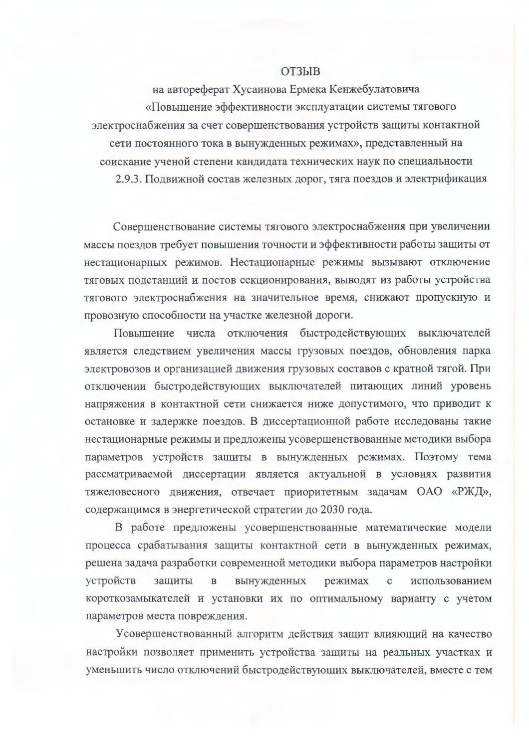## **ОТЗЫВ**

на автореферат Хусаинова Ермека Кенжебулатовича «Повышение эффективности эксплуатации системы тягового электроснабжения за счет совершенствования устройств защиты контактной сети постоянного тока в вынужденных режимах», представленный на соискание ученой степени кандидата технических наук по специальности 2.9.3. Подвижной состав железных дорог, тяга поездов и электрификация

Совершенствование системы тягового электроснабжения при увеличении массы поездов требует повышения точности и эффективности работы защиты от нестационарных режимов. Нестационарные режимы вызывают отключение тяговых подстанций и постов секционирования, выводят из работы устройства тягового электроснабжения на значительное время, снижают пропускную и провозную способности на участке железной дороги.

Повышение числа отключения быстродействующих выключателей является следствием увеличения массы грузовых поездов, обновления парка электровозов и организацией движения грузовых составов с кратной тягой. При отключении быстродействующих выключателей питающих линий уровень напряжения в контактной сети снижается ниже допустимого, что приводит к остановке и задержке поездов. В диссертационной работе исследованы такие нестационарные режимы и предложены усовершенствованные методики выбора параметров устройств защиты в вынужденных режимах. Поэтому тема рассматриваемой диссертации является актуальной в условиях развития тяжеловесного движения, отвечает приоритетным задачам ОАО «РЖД», содержащимся в энергетической стратегии до 2030 года.

В работе предложены усовершенствованные математические модели процесса срабатывания защиты контактной сети в вынужденных режимах, решена задача разработки современной методики выбора параметров настройки устройств вынужденных зашиты  $\overline{B}$ режимах  $\mathbf{C}$ использованием короткозамыкателей и установки их по оптимальному варианту с учетом параметров места повреждения.

Усовершенствованный алгоритм действия защит влияющий на качество настройки позволяет применить устройства защиты на реальных участках и уменьшить число отключений быстродействующих выключателей, вместе с тем